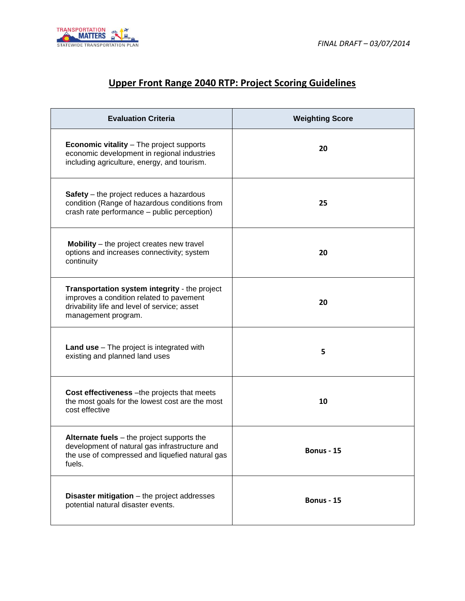

## **Upper Front Range 2040 RTP: Project Scoring Guidelines**

| <b>Evaluation Criteria</b>                                                                                                                                       | <b>Weighting Score</b> |
|------------------------------------------------------------------------------------------------------------------------------------------------------------------|------------------------|
| <b>Economic vitality - The project supports</b><br>economic development in regional industries<br>including agriculture, energy, and tourism.                    | 20                     |
| <b>Safety</b> – the project reduces a hazardous<br>condition (Range of hazardous conditions from<br>crash rate performance - public perception)                  | 25                     |
| <b>Mobility</b> – the project creates new travel<br>options and increases connectivity; system<br>continuity                                                     | 20                     |
| Transportation system integrity - the project<br>improves a condition related to pavement<br>drivability life and level of service; asset<br>management program. | 20                     |
| <b>Land use</b> – The project is integrated with<br>existing and planned land uses                                                                               | 5                      |
| Cost effectiveness - the projects that meets<br>the most goals for the lowest cost are the most<br>cost effective                                                | 10                     |
| Alternate fuels - the project supports the<br>development of natural gas infrastructure and<br>the use of compressed and liquefied natural gas<br>fuels.         | <b>Bonus - 15</b>      |
| <b>Disaster mitigation</b> - the project addresses<br>potential natural disaster events.                                                                         | <b>Bonus - 15</b>      |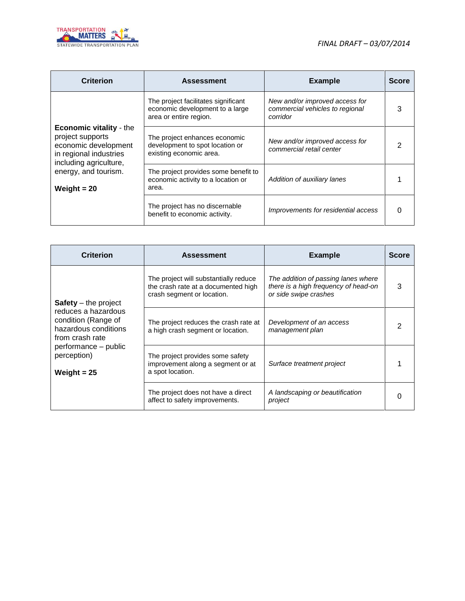

| <b>Criterion</b>                                                                                                               | <b>Assessment</b>                                                                                | <b>Example</b>                                                                | <b>Score</b> |
|--------------------------------------------------------------------------------------------------------------------------------|--------------------------------------------------------------------------------------------------|-------------------------------------------------------------------------------|--------------|
|                                                                                                                                | The project facilitates significant<br>economic development to a large<br>area or entire region. | New and/or improved access for<br>commercial vehicles to regional<br>corridor | 3            |
| <b>Economic vitality - the</b><br>project supports<br>economic development<br>in regional industries<br>including agriculture, | The project enhances economic<br>development to spot location or<br>existing economic area.      | New and/or improved access for<br>commercial retail center                    | 2            |
| energy, and tourism.<br>Weight $= 20$                                                                                          | The project provides some benefit to<br>economic activity to a location or<br>area.              | Addition of auxiliary lanes                                                   |              |
|                                                                                                                                | The project has no discernable<br>benefit to economic activity.                                  | Improvements for residential access                                           | 0            |

| <b>Criterion</b>                                                                      | <b>Assessment</b>                                                                                          | <b>Example</b>                                                                                       | <b>Score</b> |
|---------------------------------------------------------------------------------------|------------------------------------------------------------------------------------------------------------|------------------------------------------------------------------------------------------------------|--------------|
| $Safety - the project$                                                                | The project will substantially reduce<br>the crash rate at a documented high<br>crash segment or location. | The addition of passing lanes where<br>there is a high frequency of head-on<br>or side swipe crashes | 3            |
| reduces a hazardous<br>condition (Range of<br>hazardous conditions<br>from crash rate | The project reduces the crash rate at<br>a high crash segment or location.                                 | Development of an access<br>management plan                                                          | 2            |
| performance - public<br>perception)<br>Weight $= 25$                                  | The project provides some safety<br>improvement along a segment or at<br>a spot location.                  | Surface treatment project                                                                            |              |
|                                                                                       | The project does not have a direct<br>affect to safety improvements.                                       | A landscaping or beautification<br>project                                                           | O            |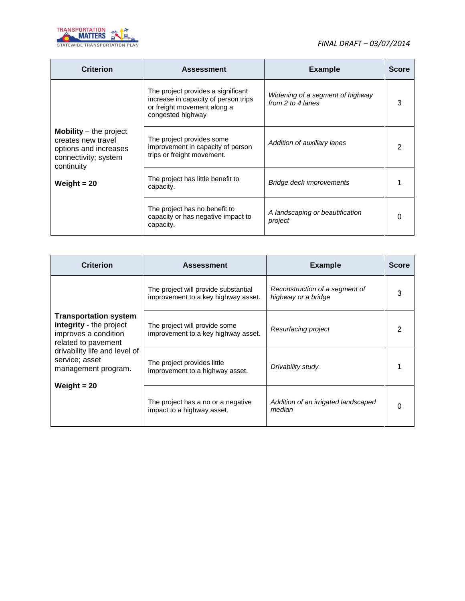

| <b>Criterion</b>                                                                                                     | <b>Assessment</b>                                                                                                              | <b>Example</b>                                        | <b>Score</b> |
|----------------------------------------------------------------------------------------------------------------------|--------------------------------------------------------------------------------------------------------------------------------|-------------------------------------------------------|--------------|
|                                                                                                                      | The project provides a significant<br>increase in capacity of person trips<br>or freight movement along a<br>congested highway | Widening of a segment of highway<br>from 2 to 4 lanes | 3            |
| <b>Mobility</b> $-$ the project<br>creates new travel<br>options and increases<br>connectivity; system<br>continuity | The project provides some<br>improvement in capacity of person<br>trips or freight movement.                                   | Addition of auxiliary lanes                           | 2            |
| Weight $= 20$                                                                                                        | The project has little benefit to<br>capacity.                                                                                 | Bridge deck improvements                              |              |
|                                                                                                                      | The project has no benefit to<br>capacity or has negative impact to<br>capacity.                                               | A landscaping or beautification<br>project            |              |

| <b>Criterion</b>                                                                                       | <b>Assessment</b>                                                           | <b>Example</b>                                        | <b>Score</b> |
|--------------------------------------------------------------------------------------------------------|-----------------------------------------------------------------------------|-------------------------------------------------------|--------------|
|                                                                                                        | The project will provide substantial<br>improvement to a key highway asset. | Reconstruction of a segment of<br>highway or a bridge | 3            |
| <b>Transportation system</b><br>integrity - the project<br>improves a condition<br>related to pavement | The project will provide some<br>improvement to a key highway asset.        | Resurfacing project                                   |              |
| drivability life and level of<br>service; asset<br>management program.<br>Weight $= 20$                | The project provides little<br>improvement to a highway asset.              | Drivability study                                     |              |
|                                                                                                        | The project has a no or a negative<br>impact to a highway asset.            | Addition of an irrigated landscaped<br>median         |              |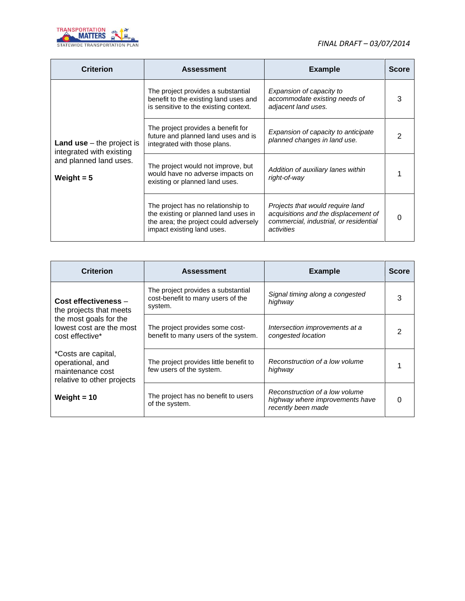

| <b>Criterion</b>                                                                                         | <b>Assessment</b>                                                                                                                                 | <b>Example</b>                                                                                                                   | <b>Score</b> |
|----------------------------------------------------------------------------------------------------------|---------------------------------------------------------------------------------------------------------------------------------------------------|----------------------------------------------------------------------------------------------------------------------------------|--------------|
| <b>Land use</b> $-$ the project is<br>integrated with existing<br>and planned land uses.<br>Weight $= 5$ | The project provides a substantial<br>benefit to the existing land uses and<br>is sensitive to the existing context.                              | Expansion of capacity to<br>accommodate existing needs of<br>adjacent land uses.                                                 | 3            |
|                                                                                                          | The project provides a benefit for<br>future and planned land uses and is<br>integrated with those plans.                                         | Expansion of capacity to anticipate<br>planned changes in land use.                                                              | 2            |
|                                                                                                          | The project would not improve, but<br>would have no adverse impacts on<br>existing or planned land uses.                                          | Addition of auxiliary lanes within<br>right-of-way                                                                               |              |
|                                                                                                          | The project has no relationship to<br>the existing or planned land uses in<br>the area; the project could adversely<br>impact existing land uses. | Projects that would require land<br>acquisitions and the displacement of<br>commercial, industrial, or residential<br>activities | 0            |

| <b>Criterion</b>                                                                          | <b>Assessment</b>                                                                  | <b>Example</b>                                                                          | <b>Score</b> |
|-------------------------------------------------------------------------------------------|------------------------------------------------------------------------------------|-----------------------------------------------------------------------------------------|--------------|
| Cost effectiveness -<br>the projects that meets                                           | The project provides a substantial<br>cost-benefit to many users of the<br>system. | Signal timing along a congested<br>highway                                              | з            |
| the most goals for the<br>lowest cost are the most<br>cost effective*                     | The project provides some cost-<br>benefit to many users of the system.            | Intersection improvements at a<br>congested location                                    | າ            |
| *Costs are capital,<br>operational, and<br>maintenance cost<br>relative to other projects | The project provides little benefit to<br>few users of the system.                 | Reconstruction of a low volume<br>highway                                               |              |
| Weight $= 10$                                                                             | The project has no benefit to users<br>of the system.                              | Reconstruction of a low volume<br>highway where improvements have<br>recently been made |              |